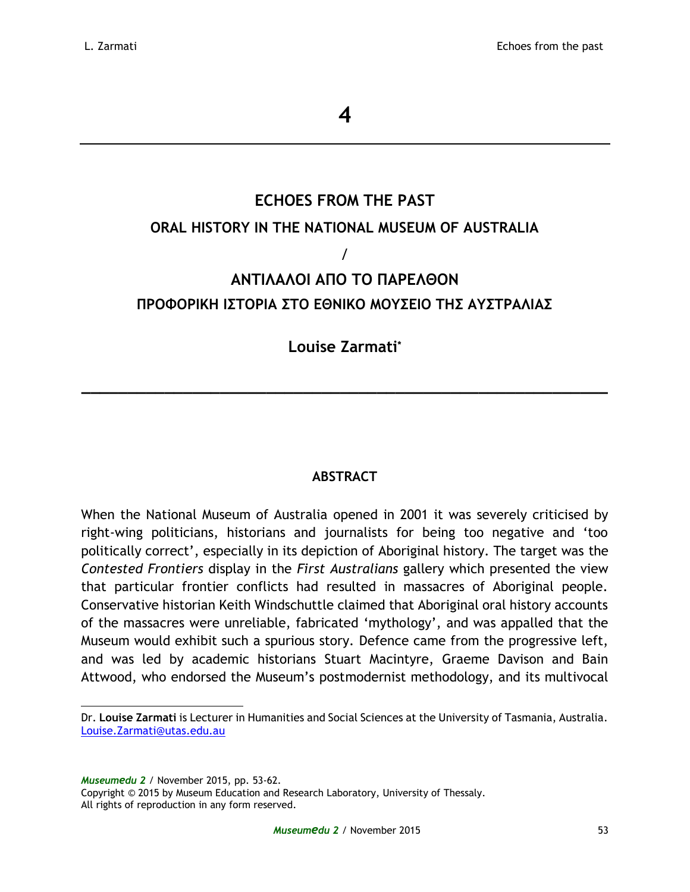# **ECHOES FROM THE PAST ORAL HISTORY IN THE NATIONAL MUSEUM OF AUSTRALIA** / **ΑΝΤΙΛΑΛΟΙ ΑΠΟ ΤΟ ΠΑΡΕΛΘΟΝ ΠΡΟΦΟΡΙΚΗ ΙΣΤΟΡΙΑ ΣΤΟ ΕΘΝΙΚΟ ΜΟΥΣΕΙΟ ΤΗΣ ΑΥΣΤΡΑΛΙΑΣ**

# **Louise Zarmati\***

**\_\_\_\_\_\_\_\_\_\_\_\_\_\_\_\_\_\_\_\_\_\_\_\_\_\_\_\_\_\_\_\_\_\_\_\_\_\_\_\_\_\_\_\_\_\_\_\_\_\_\_\_\_\_\_\_\_**

## **ABSTRACT**

When the National Museum of Australia opened in 2001 it was severely criticised by right-wing politicians, historians and journalists for being too negative and 'too politically correct', especially in its depiction of Aboriginal history. The target was the *Contested Frontiers* display in the *First Australians* gallery which presented the view that particular frontier conflicts had resulted in massacres of Aboriginal people. Conservative historian Keith Windschuttle claimed that Aboriginal oral history accounts of the massacres were unreliable, fabricated 'mythology', and was appalled that the Museum would exhibit such a spurious story. Defence came from the progressive left, and was led by academic historians Stuart Macintyre, Graeme Davison and Bain Attwood, who endorsed the Museum's postmodernist methodology, and its multivocal

*Museumedu 2* / November 2015, pp. 53-62.

Copyright © 2015 by Museum Education and Research Laboratory, University of Thessaly. All rights of reproduction in any form reserved.

Dr. **Louise Zarmati** is Lecturer in Humanities and Social Sciences at the University of Tasmania, Australia. [Louise.Zarmati@utas.edu.au](mailto:Louise.Zarmati@utas.edu.au)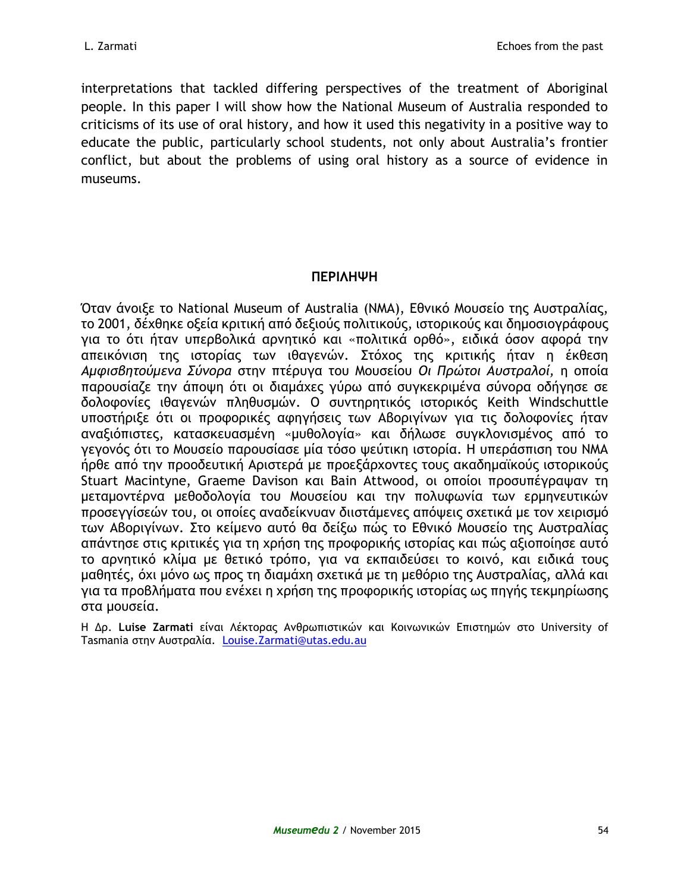interpretations that tackled differing perspectives of the treatment of Aboriginal people. In this paper I will show how the National Museum of Australia responded to criticisms of its use of oral history, and how it used this negativity in a positive way to educate the public, particularly school students, not only about Australia's frontier conflict, but about the problems of using oral history as a source of evidence in museums.

## **ΠΕΡΙΛΗΨΗ**

Όταν άνοιξε το National Museum of Australia (NMA), Εθνικό Μουσείο της Αυστραλίας, το 2001, δέχθηκε οξεία κριτική από δεξιούς πολιτικούς, ιστορικούς και δημοσιογράφους για το ότι ήταν υπερβολικά αρνητικό και «πολιτικά ορθό», ειδικά όσον αφορά την απεικόνιση της ιστορίας των ιθαγενών. Στόχος της κριτικής ήταν η έκθεση *Αμφισβητούμενα Σύνορα* στην πτέρυγα του Μουσείου *Οι Πρώτοι Αυστραλοί,* η οποία παρουσίαζε την άποψη ότι οι διαμάχες γύρω από συγκεκριμένα σύνορα οδήγησε σε δολοφονίες ιθαγενών πληθυσμών. Ο συντηρητικός ιστορικός Keith Windschuttle υποστήριξε ότι οι προφορικές αφηγήσεις των Αβοριγίνων για τις δολοφονίες ήταν αναξιόπιστες, κατασκευασμένη «μυθολογία» και δήλωσε συγκλονισμένος από το γεγονός ότι το Μουσείο παρουσίασε μία τόσο ψεύτικη ιστορία. Η υπεράσπιση του ΝΜΑ ήρθε από την προοδευτική Αριστερά με προεξάρχοντες τους ακαδημαϊκούς ιστορικούς Stuart Macintyne, Graeme Davison και Bain Attwood, οι οποίοι προσυπέγραψαν τη μεταμοντέρνα μεθοδολογία του Μουσείου και την πολυφωνία των ερμηνευτικών προσεγγίσεών του, οι οποίες αναδείκνυαν διιστάμενες απόψεις σχετικά με τον χειρισμό των Αβοριγίνων. Στο κείμενο αυτό θα δείξω πώς το Εθνικό Μουσείο της Αυστραλίας απάντησε στις κριτικές για τη χρήση της προφορικής ιστορίας και πώς αξιοποίησε αυτό το αρνητικό κλίμα με θετικό τρόπο, για να εκπαιδεύσει το κοινό, και ειδικά τους μαθητές, όχι μόνο ως προς τη διαμάχη σχετικά με τη μεθόριο της Αυστραλίας, αλλά και για τα προβλήματα που ενέχει η χρήση της προφορικής ιστορίας ως πηγής τεκμηρίωσης στα μουσεία.

H Δρ. **Luise Zarmati** είναι Λέκτορας Ανθρωπιστικών και Κοινωνικών Επιστημών στο University of Tasmania στην Αυστραλία. [Louise.Zarmati@utas.edu.au](mailto:Louise.Zarmati@utas.edu.au)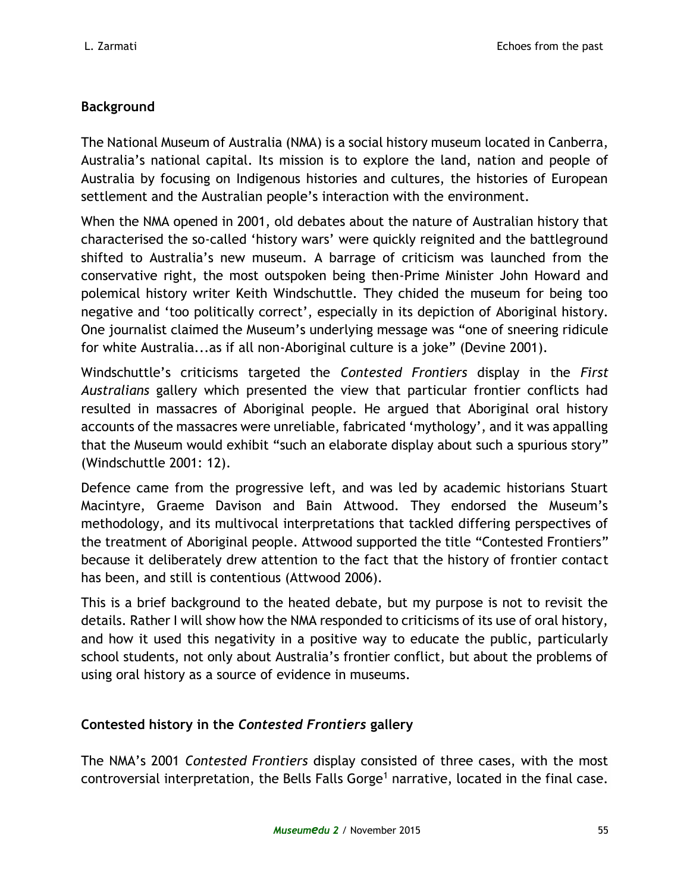# **Background**

The National Museum of Australia (NMA) is a social history museum located in Canberra, Australia's national capital. Its mission is to explore the land, nation and people of Australia by focusing on Indigenous histories and cultures, the histories of European settlement and the Australian people's interaction with the environment.

When the NMA opened in 2001, old debates about the nature of Australian history that characterised the so-called 'history wars' were quickly reignited and the battleground shifted to Australia's new museum. A barrage of criticism was launched from the conservative right, the most outspoken being then-Prime Minister John Howard and polemical history writer Keith Windschuttle. They chided the museum for being too negative and 'too politically correct', especially in its depiction of Aboriginal history. One journalist claimed the Museum's underlying message was "one of sneering ridicule for white Australia...as if all non-Aboriginal culture is a joke" (Devine 2001).

Windschuttle's criticisms targeted the *Contested Frontiers* display in the *First Australians* gallery which presented the view that particular frontier conflicts had resulted in massacres of Aboriginal people. He argued that Aboriginal oral history accounts of the massacres were unreliable, fabricated 'mythology', and it was appalling that the Museum would exhibit "such an elaborate display about such a spurious story" (Windschuttle 2001: 12).

Defence came from the progressive left, and was led by academic historians Stuart Macintyre, Graeme Davison and Bain Attwood. They endorsed the Museum's methodology, and its multivocal interpretations that tackled differing perspectives of the treatment of Aboriginal people. Attwood supported the title "Contested Frontiers" because it deliberately drew attention to the fact that the history of frontier contact has been, and still is contentious (Attwood 2006).

This is a brief background to the heated debate, but my purpose is not to revisit the details. Rather I will show how the NMA responded to criticisms of its use of oral history, and how it used this negativity in a positive way to educate the public, particularly school students, not only about Australia's frontier conflict, but about the problems of using oral history as a source of evidence in museums.

# **Contested history in the** *Contested Frontiers* **gallery**

The NMA's 2001 *Contested Frontiers* display consisted of three cases, with the most controversial interpretation, the Bells Falls Gorge<sup>1</sup> narrative, located in the final case.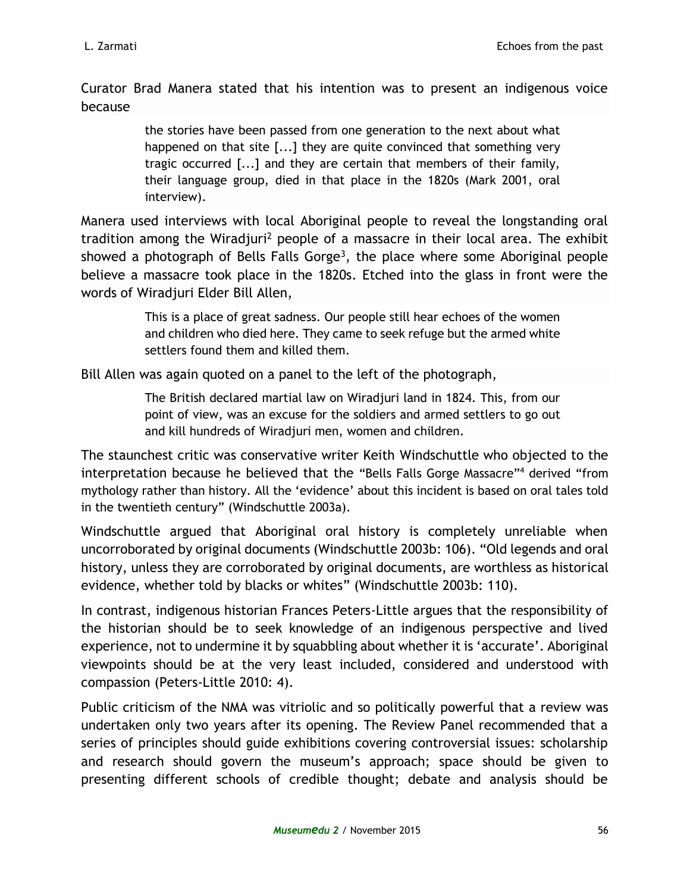Curator Brad Manera stated that his intention was to present an indigenous voice because

> the stories have been passed from one generation to the next about what happened on that site [...] they are quite convinced that something very tragic occurred [...] and they are certain that members of their family, their language group, died in that place in the 1820s (Mark 2001, oral interview).

Manera used interviews with local Aboriginal people to reveal the longstanding oral tradition among the Wiradjuri<sup>2</sup> people of a massacre in their local area. The exhibit showed a photograph of Bells Falls Gorge<sup>3</sup>, the place where some Aboriginal people believe a massacre took place in the 1820s. Etched into the glass in front were the words of Wiradjuri Elder Bill Allen,

> This is a place of great sadness. Our people still hear echoes of the women and children who died here. They came to seek refuge but the armed white settlers found them and killed them.

Bill Allen was again quoted on a panel to the left of the photograph,

The British declared martial law on Wiradjuri land in 1824. This, from our point of view, was an excuse for the soldiers and armed settlers to go out and kill hundreds of Wiradjuri men, women and children.

The staunchest critic was conservative writer Keith Windschuttle who objected to the interpretation because he believed that the "Bells Falls Gorge Massacre"<sup>4</sup> derived "from mythology rather than history. All the 'evidence' about this incident is based on oral tales told in the twentieth century" (Windschuttle 2003a).

Windschuttle argued that Aboriginal oral history is completely unreliable when uncorroborated by original documents (Windschuttle 2003b: 106). "Old legends and oral history, unless they are corroborated by original documents, are worthless as historical evidence, whether told by blacks or whites" (Windschuttle 2003b: 110).

In contrast, indigenous historian Frances Peters-Little argues that the responsibility of the historian should be to seek knowledge of an indigenous perspective and lived experience, not to undermine it by squabbling about whether it is 'accurate'. Aboriginal viewpoints should be at the very least included, considered and understood with compassion (Peters-Little 2010: 4).

Public criticism of the NMA was vitriolic and so politically powerful that a review was undertaken only two years after its opening. The Review Panel recommended that a series of principles should guide exhibitions covering controversial issues: scholarship and research should govern the museum's approach; space should be given to presenting different schools of credible thought; debate and analysis should be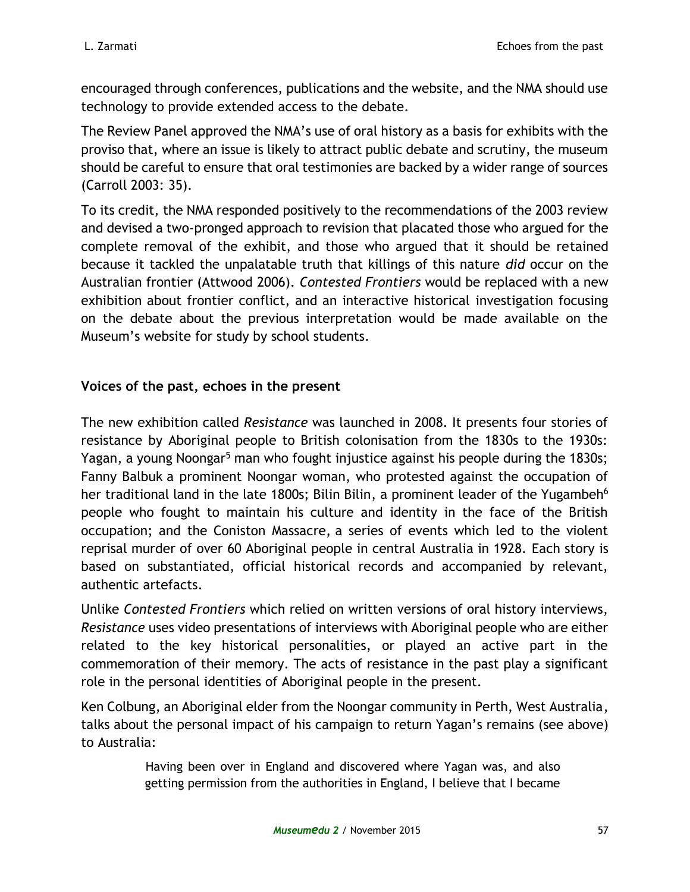encouraged through conferences, publications and the website, and the NMA should use technology to provide extended access to the debate.

The Review Panel approved the NMA's use of oral history as a basis for exhibits with the proviso that, where an issue is likely to attract public debate and scrutiny, the museum should be careful to ensure that oral testimonies are backed by a wider range of sources (Carroll 2003: 35).

To its credit, the NMA responded positively to the recommendations of the 2003 review and devised a two-pronged approach to revision that placated those who argued for the complete removal of the exhibit, and those who argued that it should be retained because it tackled the unpalatable truth that killings of this nature *did* occur on the Australian frontier (Attwood 2006). *Contested Frontiers* would be replaced with a new exhibition about frontier conflict, and an interactive historical investigation focusing on the debate about the previous interpretation would be made available on the Museum's website for study by school students.

## **Voices of the past, echoes in the present**

The new exhibition called *Resistance* was launched in 2008. It presents four stories of resistance by Aboriginal people to British colonisation from the 1830s to the 1930s: Yagan, a young Noongar<sup>5</sup> man who fought injustice against his people during the 1830s; Fanny Balbuk a prominent Noongar woman, who protested against the occupation of her traditional land in the late 1800s; Bilin Bilin, a prominent leader of the Yugambeh<sup>6</sup> people who fought to maintain his culture and identity in the face of the British occupation; and the Coniston Massacre, a series of events which led to the violent reprisal murder of over 60 Aboriginal people in central Australia in 1928. Each story is based on substantiated, official historical records and accompanied by relevant, authentic artefacts.

Unlike *Contested Frontiers* which relied on written versions of oral history interviews, *Resistance* uses video presentations of interviews with Aboriginal people who are either related to the key historical personalities, or played an active part in the commemoration of their memory. The acts of resistance in the past play a significant role in the personal identities of Aboriginal people in the present.

Ken Colbung, an Aboriginal elder from the Noongar community in Perth, West Australia, talks about the personal impact of his campaign to return Yagan's remains (see above) to Australia:

> Having been over in England and discovered where Yagan was, and also getting permission from the authorities in England, I believe that I became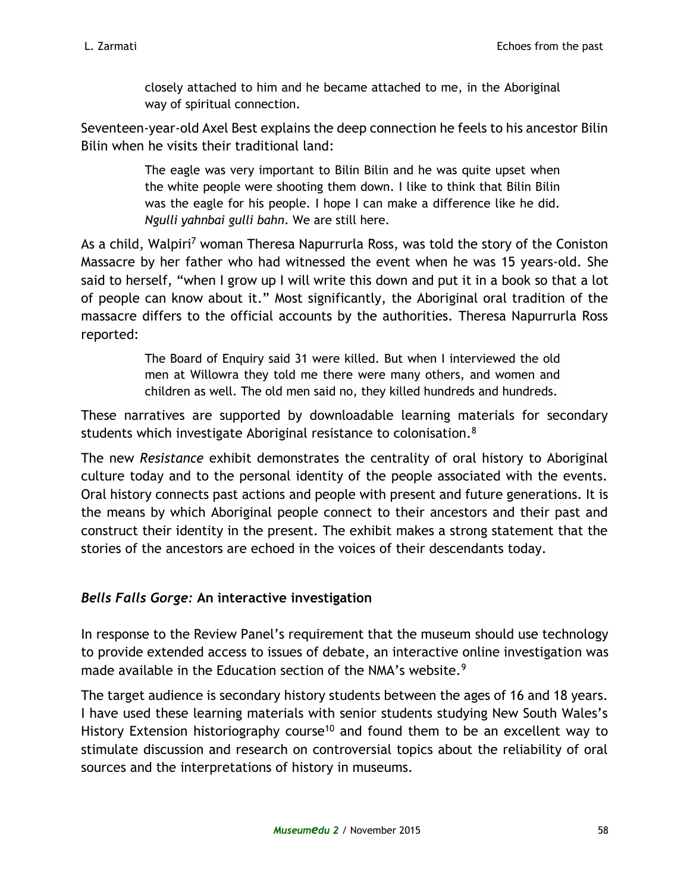closely attached to him and he became attached to me, in the Aboriginal way of spiritual connection.

Seventeen-year-old Axel Best explains the deep connection he feels to his ancestor Bilin Bilin when he visits their traditional land:

> The eagle was very important to Bilin Bilin and he was quite upset when the white people were shooting them down. I like to think that Bilin Bilin was the eagle for his people. I hope I can make a difference like he did. *Ngulli yahnbai gulli bahn*. We are still here.

As a child, Walpiri<sup>7</sup> woman Theresa Napurrurla Ross, was told the story of the Coniston Massacre by her father who had witnessed the event when he was 15 years-old. She said to herself, "when I grow up I will write this down and put it in a book so that a lot of people can know about it." Most significantly, the Aboriginal oral tradition of the massacre differs to the official accounts by the authorities. Theresa Napurrurla Ross reported:

> The Board of Enquiry said 31 were killed. But when I interviewed the old men at Willowra they told me there were many others, and women and children as well. The old men said no, they killed hundreds and hundreds.

These narratives are supported by downloadable learning materials for secondary students which investigate Aboriginal resistance to colonisation.<sup>8</sup>

The new *Resistance* exhibit demonstrates the centrality of oral history to Aboriginal culture today and to the personal identity of the people associated with the events. Oral history connects past actions and people with present and future generations. It is the means by which Aboriginal people connect to their ancestors and their past and construct their identity in the present. The exhibit makes a strong statement that the stories of the ancestors are echoed in the voices of their descendants today.

# *Bells Falls Gorge:* **An interactive investigation**

In response to the Review Panel's requirement that the museum should use technology to provide extended access to issues of debate, an interactive online investigation was made available in the Education section of the NMA's website.<sup>9</sup>

The target audience is secondary history students between the ages of 16 and 18 years. I have used these learning materials with senior students studying New South Wales's History Extension historiography course<sup>10</sup> and found them to be an excellent way to stimulate discussion and research on controversial topics about the reliability of oral sources and the interpretations of history in museums.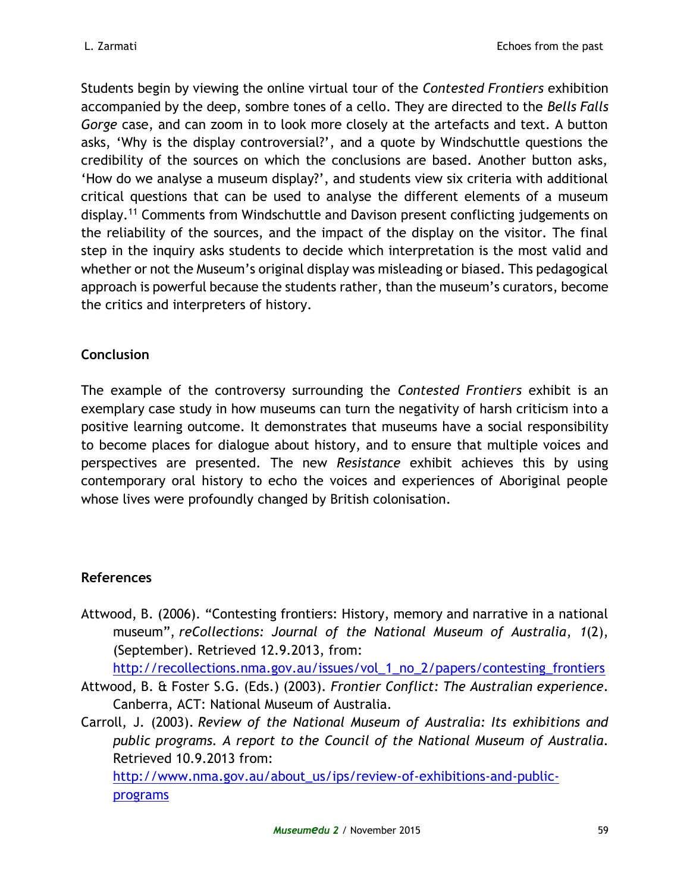Students begin by viewing the online virtual tour of the *Contested Frontiers* exhibition accompanied by the deep, sombre tones of a cello. They are directed to the *Bells Falls Gorge* case, and can zoom in to look more closely at the artefacts and text. A button asks, 'Why is the display controversial?', and a quote by Windschuttle questions the credibility of the sources on which the conclusions are based. Another button asks, 'How do we analyse a museum display?', and students view six criteria with additional critical questions that can be used to analyse the different elements of a museum display.<sup>11</sup> Comments from Windschuttle and Davison present conflicting judgements on the reliability of the sources, and the impact of the display on the visitor. The final step in the inquiry asks students to decide which interpretation is the most valid and whether or not the Museum's original display was misleading or biased. This pedagogical approach is powerful because the students rather, than the museum's curators, become the critics and interpreters of history.

## **Conclusion**

The example of the controversy surrounding the *Contested Frontiers* exhibit is an exemplary case study in how museums can turn the negativity of harsh criticism into a positive learning outcome. It demonstrates that museums have a social responsibility to become places for dialogue about history, and to ensure that multiple voices and perspectives are presented. The new *Resistance* exhibit achieves this by using contemporary oral history to echo the voices and experiences of Aboriginal people whose lives were profoundly changed by British colonisation.

## **References**

Attwood, B. (2006). "Contesting frontiers: History, memory and narrative in a national museum", *reCollections: Journal of the National Museum of Australia*, *1*(2), (September). Retrieved 12.9.2013, from:

[http://recollections.nma.gov.au/issues/vol\\_1\\_no\\_2/papers/contesting\\_frontiers](http://recollections.nma.gov.au/issues/vol_1_no_2/papers/contesting_frontiers)

- Attwood, B. & Foster S.G. (Eds.) (2003). *Frontier Conflict: The Australian experience.* Canberra, ACT: National Museum of Australia.
- Carroll, J. (2003). *Review of the National Museum of Australia: Its exhibitions and public programs. A report to the Council of the National Museum of Australia*. Retrieved 10.9.2013 from:

[http://www.nma.gov.au/about\\_us/ips/review-of-exhibitions-and-public](http://www.nma.gov.au/about_us/ips/review-of-exhibitions-and-public-programs)[programs](http://www.nma.gov.au/about_us/ips/review-of-exhibitions-and-public-programs)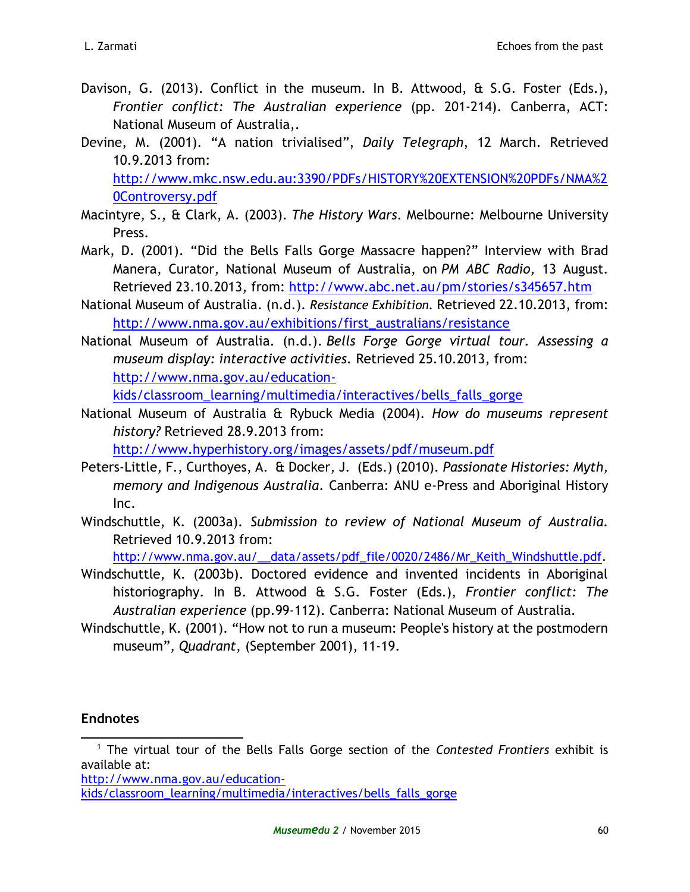- Davison, G. (2013). Conflict in the museum. In B. Attwood, & S.G. Foster (Eds.), *Frontier conflict: The Australian experience* (pp. 201-214)*.* Canberra, ACT: National Museum of Australia,.
- Devine, M. (2001). "A nation trivialised", *Daily Telegraph*, 12 March. Retrieved 10.9.2013 from: [http://www.mkc.nsw.edu.au:3390/PDFs/HISTORY%20EXTENSION%20PDFs/NMA%2](http://www.mkc.nsw.edu.au:3390/PDFs/HISTORY%20EXTENSION%20PDFs/NMA%20Controversy.pdf) [0Controversy.pdf](http://www.mkc.nsw.edu.au:3390/PDFs/HISTORY%20EXTENSION%20PDFs/NMA%20Controversy.pdf)
- Macintyre, S., & Clark, A. (2003). *The History Wars*. Melbourne: Melbourne University Press.
- Mark, D. (2001). "Did the Bells Falls Gorge Massacre happen?" Interview with Brad Manera, Curator, National Museum of Australia, on *PM ABC Radio,* 13 August. Retrieved 23.10.2013, from: <http://www.abc.net.au/pm/stories/s345657.htm>
- National Museum of Australia. (n.d.). *Resistance Exhibition.* Retrieved 22.10.2013, from: [http://www.nma.gov.au/exhibitions/first\\_australians/resistance](http://www.nma.gov.au/exhibitions/first_australians/resistance)
- National Museum of Australia. (n.d.). *Bells Forge Gorge virtual tour. Assessing a museum display: interactive activities.* Retrieved 25.10.2013, from: [http://www.nma.gov.au/education](http://www.nma.gov.au/education-kids/classroom_learning/multimedia/interactives/bells_falls_gorge)[kids/classroom\\_learning/multimedia/interactives/bells\\_falls\\_gorge](http://www.nma.gov.au/education-kids/classroom_learning/multimedia/interactives/bells_falls_gorge)
- National Museum of Australia & Rybuck Media (2004). *How do museums represent history?* Retrieved 28.9.2013 from:

<http://www.hyperhistory.org/images/assets/pdf/museum.pdf>

- Peters-Little, F., Curthoyes, A. & Docker, J. (Eds.) (2010). *Passionate Histories: Myth, memory and Indigenous Australia*. Canberra: ANU e-Press and Aboriginal History Inc.
- Windschuttle, K. (2003a). *Submission to review of National Museum of Australia.* Retrieved 10.9.2013 from:

[http://www.nma.gov.au/\\_\\_data/assets/pdf\\_file/0020/2486/Mr\\_Keith\\_Windshuttle.pdf.](http://www.nma.gov.au/__data/assets/pdf_file/0020/2486/Mr_Keith_Windshuttle.pdf)

- Windschuttle, K. (2003b). Doctored evidence and invented incidents in Aboriginal historiography. In B. Attwood & S.G. Foster (Eds.), *Frontier conflict: The Australian experience* (pp.99-112). Canberra: National Museum of Australia.
- Windschuttle, K. (2001). "How not to run a museum: People's history at the postmodern museum", *Quadrant*, (September 2001), 11-19.

## **Endnotes**

<sup>1</sup> The virtual tour of the Bells Falls Gorge section of the *Contested Frontiers* exhibit is available at: 

[http://www.nma.gov.au/education](http://www.nma.gov.au/education-kids/classroom_learning/multimedia/interactives/bells_falls_gorge)[kids/classroom\\_learning/multimedia/interactives/bells\\_falls\\_gorge](http://www.nma.gov.au/education-kids/classroom_learning/multimedia/interactives/bells_falls_gorge)